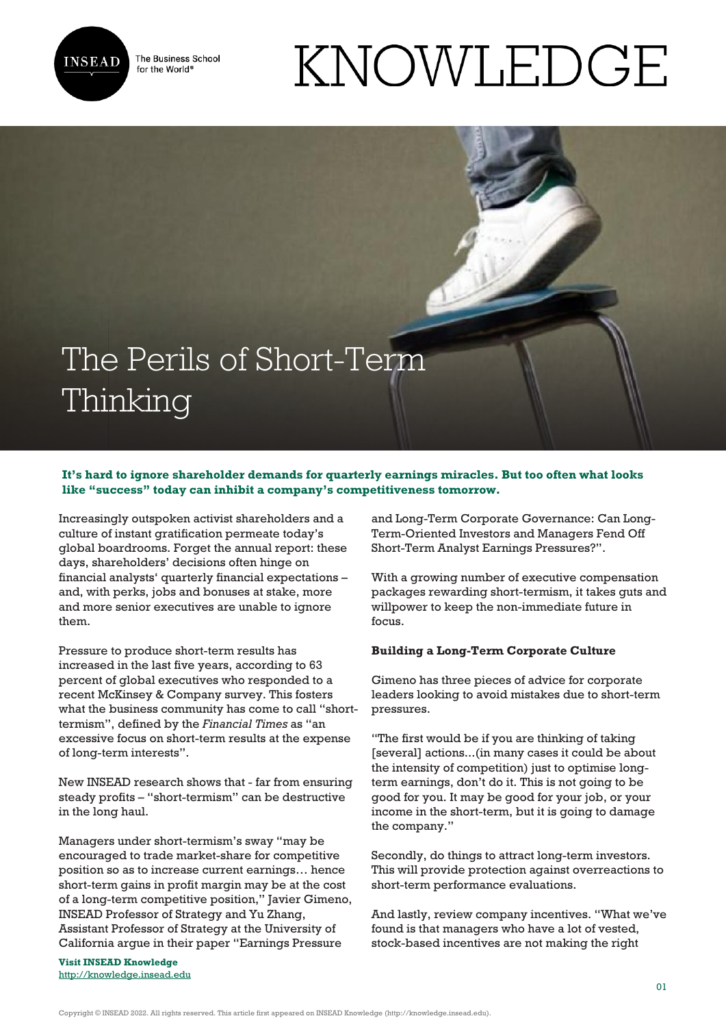

The Business School for the World<sup>®</sup>

# KNOWLEDGE

# The Perils of Short-Term Thinking

# **It's hard to ignore shareholder demands for quarterly earnings miracles. But too often what looks like "success" today can inhibit a company's competitiveness tomorrow.**

Increasingly outspoken activist shareholders and a culture of instant gratification permeate today's global boardrooms. Forget the annual report: these days, shareholders' decisions often hinge on financial analysts' quarterly financial expectations – and, with perks, jobs and bonuses at stake, more and more senior executives are unable to ignore them.

Pressure to produce short-term results has increased in the last five years, according to 63 percent of global executives who responded to a recent McKinsey & Company survey. This fosters what the business community has come to call "shorttermism", defined by the *Financial Times* as "an excessive focus on short-term results at the expense of long-term interests".

New INSEAD research shows that - far from ensuring steady profits – "short-termism" can be destructive in the long haul.

Managers under short-termism's sway "may be encouraged to trade market-share for competitive position so as to increase current earnings… hence short-term gains in profit margin may be at the cost of a long-term competitive position," Javier Gimeno, INSEAD Professor of Strategy and Yu Zhang, Assistant Professor of Strategy at the University of California argue in their paper "Earnings Pressure

**Visit INSEAD Knowledge** <http://knowledge.insead.edu>

and Long-Term Corporate Governance: Can Long-Term-Oriented Investors and Managers Fend Off Short-Term Analyst Earnings Pressures?".

With a growing number of executive compensation packages rewarding short-termism, it takes guts and willpower to keep the non-immediate future in focus.

# **Building a Long-Term Corporate Culture**

Gimeno has three pieces of advice for corporate leaders looking to avoid mistakes due to short-term pressures.

"The first would be if you are thinking of taking [several] actions...(in many cases it could be about the intensity of competition) just to optimise longterm earnings, don't do it. This is not going to be good for you. It may be good for your job, or your income in the short-term, but it is going to damage the company."

Secondly, do things to attract long-term investors. This will provide protection against overreactions to short-term performance evaluations.

And lastly, review company incentives. "What we've found is that managers who have a lot of vested, stock-based incentives are not making the right